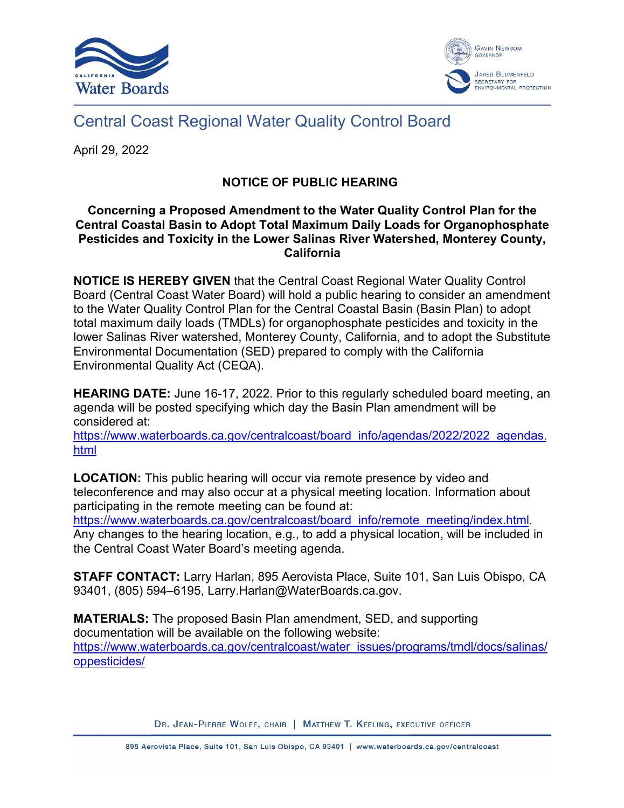



## Central Coast Regional Water Quality Control Board

April 29, 2022

## **NOTICE OF PUBLIC HEARING**

## **Concerning a Proposed Amendment to the Water Quality Control Plan for the Central Coastal Basin to Adopt Total Maximum Daily Loads for Organophosphate Pesticides and Toxicity in the Lower Salinas River Watershed, Monterey County, California**

**NOTICE IS HEREBY GIVEN** that the Central Coast Regional Water Quality Control Board (Central Coast Water Board) will hold a public hearing to consider an amendment to the Water Quality Control Plan for the Central Coastal Basin (Basin Plan) to adopt total maximum daily loads (TMDLs) for organophosphate pesticides and toxicity in the lower Salinas River watershed, Monterey County, California, and to adopt the Substitute Environmental Documentation (SED) prepared to comply with the California Environmental Quality Act (CEQA).

**HEARING DATE:** June 16-17, 2022. Prior to this regularly scheduled board meeting, an agenda will be posted specifying which day the Basin Plan amendment will be considered at:

[https://www.waterboards.ca.gov/centralcoast/board\\_info/agendas/2022/2022\\_agendas.](https://www.waterboards.ca.gov/centralcoast/board_info/agendas/2022/2022_agendas.html) [html](https://www.waterboards.ca.gov/centralcoast/board_info/agendas/2022/2022_agendas.html)

**LOCATION:** This public hearing will occur via remote presence by video and teleconference and may also occur at a physical meeting location. Information about participating in the remote meeting can be found at:

[https://www.waterboards.ca.gov/centralcoast/board\\_info/remote\\_meeting/index.html](https://www.waterboards.ca.gov/centralcoast/board_info/remote_meeting/index.html). Any changes to the hearing location, e.g., to add a physical location, will be included in the Central Coast Water Board's meeting agenda.

**STAFF CONTACT:** Larry Harlan, 895 Aerovista Place, Suite 101, San Luis Obispo, CA 93401, (805) 594–6195, Larry.Harlan@WaterBoards.ca.gov.

**MATERIALS:** The proposed Basin Plan amendment, SED, and supporting documentation will be available on the following website: [https://www.waterboards.ca.gov/centralcoast/water\\_issues/programs/tmdl/docs/salinas/](https://www.waterboards.ca.gov/centralcoast/water_issues/programs/tmdl/docs/salinas/oppesticides/) [oppesticides/](https://www.waterboards.ca.gov/centralcoast/water_issues/programs/tmdl/docs/salinas/oppesticides/)

DR. JEAN-PIERRE WOLFF, CHAIR | MATTHEW T. KEELING, EXECUTIVE OFFICER